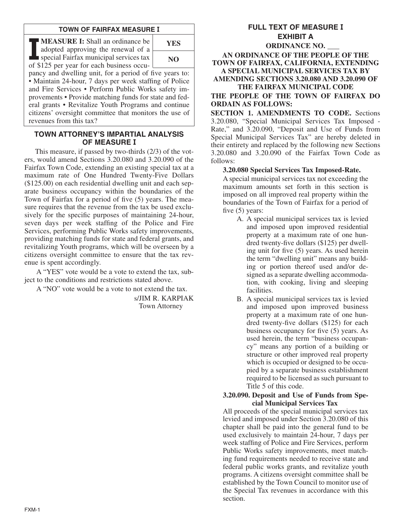## **TOWN OF FAIRFAX MEASURE I**

**II** MEASURE I: Shall an ordinance be adopted approving the renewal of a special Fairfax municipal services tax of \$125 per year for each business occu-**MEASURE I:** Shall an ordinance be adopted approving the renewal of a special Fairfax municipal services tax



pancy and dwelling unit, for a period of five years to: • Maintain 24-hour, 7 days per week staffing of Police and Fire Services • Perform Public Works safety improvements • Provide matching funds for state and federal grants • Revitalize Youth Programs and continue citizens' oversight committee that monitors the use of revenues from this tax?

## **TOWN ATTORNEY'S IMPARTIAL ANALYSIS OF MEASURE I**

This measure, if passed by two-thirds (2/3) of the voters, would amend Sections 3.20.080 and 3.20.090 of the Fairfax Town Code, extending an existing special tax at a maximum rate of One Hundred Twenty-Five Dollars (\$125.00) on each residential dwelling unit and each separate business occupancy within the boundaries of the Town of Fairfax for a period of five (5) years. The measure requires that the revenue from the tax be used exclusively for the specific purposes of maintaining 24-hour, seven days per week staffing of the Police and Fire Services, performing Public Works safety improvements, providing matching funds for state and federal grants, and revitalizing Youth programs, which will be overseen by a citizens oversight committee to ensure that the tax revenue is spent accordingly.

A "YES" vote would be a vote to extend the tax, subject to the conditions and restrictions stated above.

A "NO" vote would be a vote to not extend the tax.

s/JIM R. KARPIAK Town Attorney

# **FULL TEXT OF MEASURE I EXHIBIT A**

**ORDINANCE NO. AN ORDINANCE OF THE PEOPLE OF THE TOWN OF FAIRFAX, CALIFORNIA, EXTENDING A SPECIAL MUNICIPAL SERVICES TAX BY AMENDING SECTIONS 3.20.080 AND 3.20.090 OF THE FAIRFAX MUNICIPAL CODE**

**THE PEOPLE OF THE TOWN OF FAIRFAX DO ORDAIN AS FOLLOWS:**

**SECTION 1. AMENDMENTS TO CODE.** Sections 3.20.080, "Special Municipal Services Tax Imposed - Rate," and 3.20.090, "Deposit and Use of Funds from Special Municipal Services Tax" are hereby deleted in their entirety and replaced by the following new Sections 3.20.080 and 3.20.090 of the Fairfax Town Code as follows:

#### **3.20.080 Special Services Tax Imposed-Rate.**

A special municipal services tax not exceeding the maximum amounts set forth in this section is imposed on all improved real property within the boundaries of the Town of Fairfax for a period of five (5) years:

- A. A special municipal services tax is levied and imposed upon improved residential property at a maximum rate of one hundred twenty-five dollars (\$125) per dwelling unit for five (5) years. As used herein the term "dwelling unit" means any building or portion thereof used and/or designed as a separate dwelling accommodation, with cooking, living and sleeping facilities.
- B. A special municipal services tax is levied and imposed upon improved business property at a maximum rate of one hundred twenty-five dollars (\$125) for each business occupancy for five (5) years. As used herein, the term "business occupancy" means any portion of a building or structure or other improved real property which is occupied or designed to be occupied by a separate business establishment required to be licensed as such pursuant to Title 5 of this code.

#### **3.20.090. Deposit and Use of Funds from Special Municipal Services Tax**

All proceeds of the special municipal services tax levied and imposed under Section 3.20.080 of this chapter shall be paid into the general fund to be used exclusively to maintain 24-hour, 7 days per week staffing of Police and Fire Services, perform Public Works safety improvements, meet matching fund requirements needed to receive state and federal public works grants, and revitalize youth programs. A citizens oversight committee shall be established by the Town Council to monitor use of the Special Tax revenues in accordance with this section.